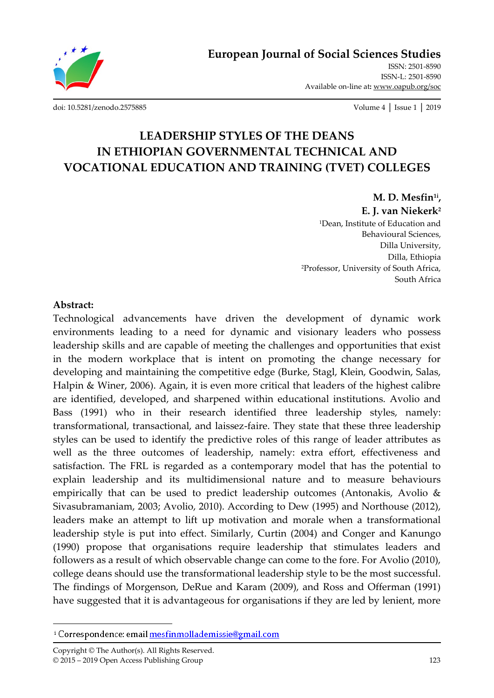

ISSN: 2501-8590 ISSN-L: 2501-8590 Available on-line at**:** www.oapub.org/soc

[doi: 10.5281/zenodo.2575885](http://dx.doi.org/10.5281/zenodo.2575885) Volume 4 │ Issue 1 │ 2019

# **LEADERSHIP STYLES OF THE DEANS IN ETHIOPIAN GOVERNMENTAL TECHNICAL AND VOCATIONAL EDUCATION AND TRAINING (TVET) COLLEGES**

**M. D. Mesfin1i ,** 

**E. J. van Niekerk<sup>2</sup>**

<sup>1</sup>Dean, Institute of Education and Behavioural Sciences, Dilla University, Dilla, Ethiopia <sup>2</sup>Professor, University of South Africa, South Africa

#### **Abstract:**

 $\overline{\phantom{a}}$ 

Technological advancements have driven the development of dynamic work environments leading to a need for dynamic and visionary leaders who possess leadership skills and are capable of meeting the challenges and opportunities that exist in the modern workplace that is intent on promoting the change necessary for developing and maintaining the competitive edge (Burke, Stagl, Klein, Goodwin, Salas, Halpin & Winer, 2006). Again, it is even more critical that leaders of the highest calibre are identified, developed, and sharpened within educational institutions. Avolio and Bass (1991) who in their research identified three leadership styles, namely: transformational, transactional, and laissez-faire. They state that these three leadership styles can be used to identify the predictive roles of this range of leader attributes as well as the three outcomes of leadership, namely: extra effort, effectiveness and satisfaction. The FRL is regarded as a contemporary model that has the potential to explain leadership and its multidimensional nature and to measure behaviours empirically that can be used to predict leadership outcomes (Antonakis, Avolio & Sivasubramaniam, 2003; Avolio, 2010). According to Dew (1995) and Northouse (2012), leaders make an attempt to lift up motivation and morale when a transformational leadership style is put into effect. Similarly, Curtin (2004) and Conger and Kanungo (1990) propose that organisations require leadership that stimulates leaders and followers as a result of which observable change can come to the fore. For Avolio (2010), college deans should use the transformational leadership style to be the most successful. The findings of Morgenson, DeRue and Karam (2009), and Ross and Offerman (1991) have suggested that it is advantageous for organisations if they are led by lenient, more

<sup>&</sup>lt;sup>i</sup> Correspondence: email mesfinmollademissie@gmail.com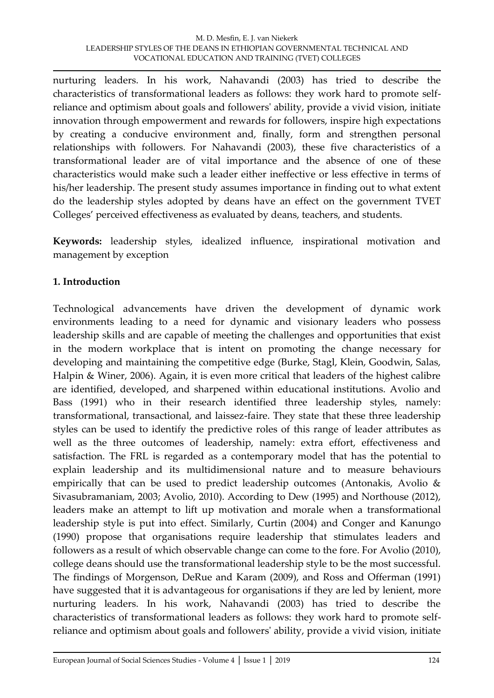nurturing leaders. In his work, Nahavandi (2003) has tried to describe the characteristics of transformational leaders as follows: they work hard to promote selfreliance and optimism about goals and followers' ability, provide a vivid vision, initiate innovation through empowerment and rewards for followers, inspire high expectations by creating a conducive environment and, finally, form and strengthen personal relationships with followers. For Nahavandi (2003), these five characteristics of a transformational leader are of vital importance and the absence of one of these characteristics would make such a leader either ineffective or less effective in terms of his/her leadership. The present study assumes importance in finding out to what extent do the leadership styles adopted by deans have an effect on the government TVET Colleges' perceived effectiveness as evaluated by deans, teachers, and students.

**Keywords:** leadership styles, idealized influence, inspirational motivation and management by exception

# **1. Introduction**

Technological advancements have driven the development of dynamic work environments leading to a need for dynamic and visionary leaders who possess leadership skills and are capable of meeting the challenges and opportunities that exist in the modern workplace that is intent on promoting the change necessary for developing and maintaining the competitive edge (Burke, Stagl, Klein, Goodwin, Salas, Halpin & Winer, 2006). Again, it is even more critical that leaders of the highest calibre are identified, developed, and sharpened within educational institutions. Avolio and Bass (1991) who in their research identified three leadership styles, namely: transformational, transactional, and laissez-faire. They state that these three leadership styles can be used to identify the predictive roles of this range of leader attributes as well as the three outcomes of leadership, namely: extra effort, effectiveness and satisfaction. The FRL is regarded as a contemporary model that has the potential to explain leadership and its multidimensional nature and to measure behaviours empirically that can be used to predict leadership outcomes (Antonakis, Avolio & Sivasubramaniam, 2003; Avolio, 2010). According to Dew (1995) and Northouse (2012), leaders make an attempt to lift up motivation and morale when a transformational leadership style is put into effect. Similarly, Curtin (2004) and Conger and Kanungo (1990) propose that organisations require leadership that stimulates leaders and followers as a result of which observable change can come to the fore. For Avolio (2010), college deans should use the transformational leadership style to be the most successful. The findings of Morgenson, DeRue and Karam (2009), and Ross and Offerman (1991) have suggested that it is advantageous for organisations if they are led by lenient, more nurturing leaders. In his work, Nahavandi (2003) has tried to describe the characteristics of transformational leaders as follows: they work hard to promote selfreliance and optimism about goals and followers' ability, provide a vivid vision, initiate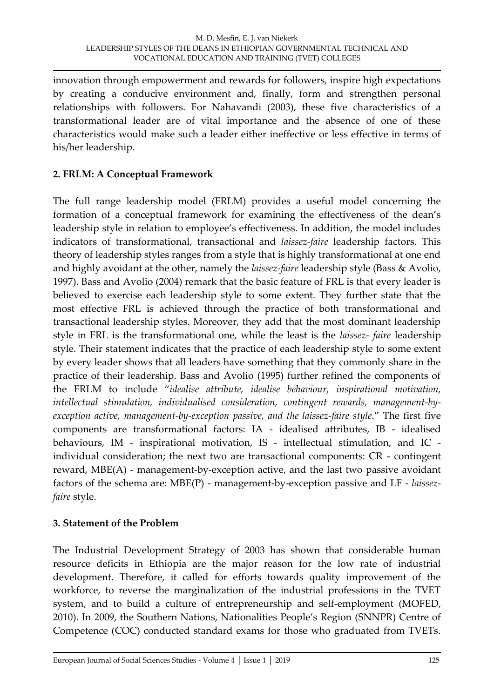innovation through empowerment and rewards for followers, inspire high expectations by creating a conducive environment and, finally, form and strengthen personal relationships with followers. For Nahavandi (2003), these five characteristics of a transformational leader are of vital importance and the absence of one of these characteristics would make such a leader either ineffective or less effective in terms of his/her leadership.

# **2. FRLM: A Conceptual Framework**

The full range leadership model (FRLM) provides a useful model concerning the formation of a conceptual framework for examining the effectiveness of the dean's leadership style in relation to employee's effectiveness. In addition, the model includes indicators of transformational, transactional and *laissez-faire* leadership factors. This theory of leadership styles ranges from a style that is highly transformational at one end and highly avoidant at the other, namely the *laissez-faire* leadership style (Bass & Avolio, 1997). Bass and Avolio (2004) remark that the basic feature of FRL is that every leader is believed to exercise each leadership style to some extent. They further state that the most effective FRL is achieved through the practice of both transformational and transactional leadership styles. Moreover, they add that the most dominant leadership style in FRL is the transformational one, while the least is the *laissez- faire* leadership style. Their statement indicates that the practice of each leadership style to some extent by every leader shows that all leaders have something that they commonly share in the practice of their leadership. Bass and Avolio (1995) further refined the components of the FRLM to include '*idealise attribute, idealise behaviour, inspirational motivation, intellectual stimulation, individualised consideration, contingent rewards, management-byexception active, management-by-exception passive, and the laissez-faire style*.' The first five components are transformational factors: IA - idealised attributes, IB - idealised behaviours, IM - inspirational motivation, IS - intellectual stimulation, and IC individual consideration; the next two are transactional components: CR - contingent reward, MBE(A) - management-by-exception active, and the last two passive avoidant factors of the schema are: MBE(P) - management-by-exception passive and LF - *laissezfaire* style.

# **3. Statement of the Problem**

The Industrial Development Strategy of 2003 has shown that considerable human resource deficits in Ethiopia are the major reason for the low rate of industrial development. Therefore, it called for efforts towards quality improvement of the workforce, to reverse the marginalization of the industrial professions in the TVET system, and to build a culture of entrepreneurship and self-employment (MOFED, 2010). In 2009, the Southern Nations, Nationalities People's Region (SNNPR) Centre of Competence (COC) conducted standard exams for those who graduated from TVETs.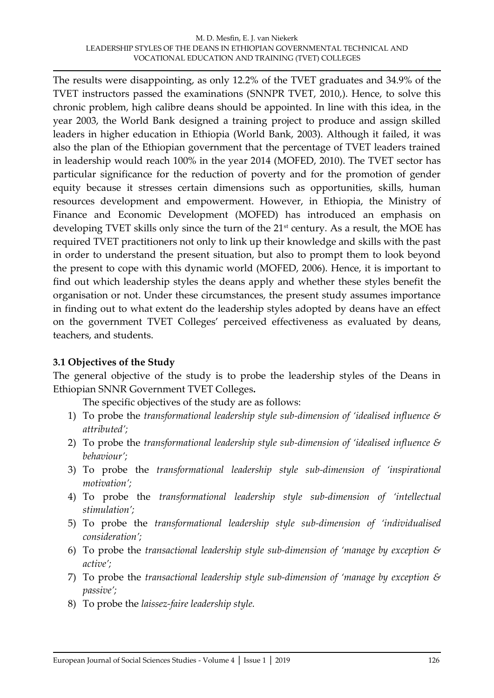The results were disappointing, as only 12.2% of the TVET graduates and 34.9% of the TVET instructors passed the examinations (SNNPR TVET, 2010,). Hence, to solve this chronic problem, high calibre deans should be appointed. In line with this idea, in the year 2003, the World Bank designed a training project to produce and assign skilled leaders in higher education in Ethiopia (World Bank, 2003). Although it failed, it was also the plan of the Ethiopian government that the percentage of TVET leaders trained in leadership would reach 100% in the year 2014 (MOFED, 2010). The TVET sector has particular significance for the reduction of poverty and for the promotion of gender equity because it stresses certain dimensions such as opportunities, skills, human resources development and empowerment. However, in Ethiopia, the Ministry of Finance and Economic Development (MOFED) has introduced an emphasis on developing TVET skills only since the turn of the 21<sup>st</sup> century. As a result, the MOE has required TVET practitioners not only to link up their knowledge and skills with the past in order to understand the present situation, but also to prompt them to look beyond the present to cope with this dynamic world (MOFED, 2006). Hence, it is important to find out which leadership styles the deans apply and whether these styles benefit the organisation or not. Under these circumstances, the present study assumes importance in finding out to what extent do the leadership styles adopted by deans have an effect on the government TVET Colleges' perceived effectiveness as evaluated by deans, teachers, and students.

# **3.1 Objectives of the Study**

The general objective of the study is to probe the leadership styles of the Deans in Ethiopian SNNR Government TVET Colleges**.**

The specific objectives of the study are as follows:

- 1) To probe the *transformational leadership style sub-dimension of 'idealised influence & attributed';*
- 2) To probe the *transformational leadership style sub-dimension of 'idealised influence & behaviour';*
- 3) To probe the *transformational leadership style sub-dimension of 'inspirational motivation';*
- 4) To probe the *transformational leadership style sub-dimension of 'intellectual stimulation';*
- 5) To probe the *transformational leadership style sub-dimension of 'individualised consideration';*
- 6) To probe the *transactional leadership style sub-dimension of 'manage by exception & active';*
- 7) To probe the *transactional leadership style sub-dimension of 'manage by exception & passive';*
- 8) To probe the *laissez-faire leadership style.*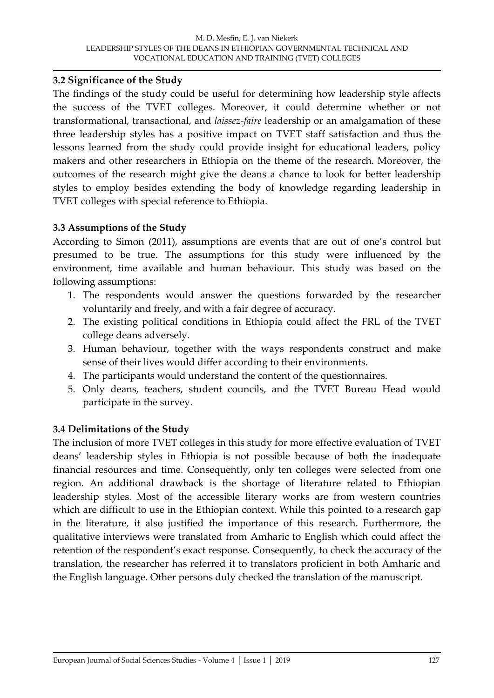#### **3.2 Significance of the Study**

The findings of the study could be useful for determining how leadership style affects the success of the TVET colleges. Moreover, it could determine whether or not transformational, transactional, and *laissez-faire* leadership or an amalgamation of these three leadership styles has a positive impact on TVET staff satisfaction and thus the lessons learned from the study could provide insight for educational leaders, policy makers and other researchers in Ethiopia on the theme of the research. Moreover, the outcomes of the research might give the deans a chance to look for better leadership styles to employ besides extending the body of knowledge regarding leadership in TVET colleges with special reference to Ethiopia.

# **3.3 Assumptions of the Study**

According to Simon (2011), assumptions are events that are out of one's control but presumed to be true. The assumptions for this study were influenced by the environment, time available and human behaviour. This study was based on the following assumptions:

- 1. The respondents would answer the questions forwarded by the researcher voluntarily and freely, and with a fair degree of accuracy.
- 2. The existing political conditions in Ethiopia could affect the FRL of the TVET college deans adversely.
- 3. Human behaviour, together with the ways respondents construct and make sense of their lives would differ according to their environments.
- 4. The participants would understand the content of the questionnaires.
- 5. Only deans, teachers, student councils, and the TVET Bureau Head would participate in the survey.

# **3.4 Delimitations of the Study**

The inclusion of more TVET colleges in this study for more effective evaluation of TVET deans' leadership styles in Ethiopia is not possible because of both the inadequate financial resources and time. Consequently, only ten colleges were selected from one region. An additional drawback is the shortage of literature related to Ethiopian leadership styles. Most of the accessible literary works are from western countries which are difficult to use in the Ethiopian context. While this pointed to a research gap in the literature, it also justified the importance of this research. Furthermore, the qualitative interviews were translated from Amharic to English which could affect the retention of the respondent's exact response. Consequently, to check the accuracy of the translation, the researcher has referred it to translators proficient in both Amharic and the English language. Other persons duly checked the translation of the manuscript.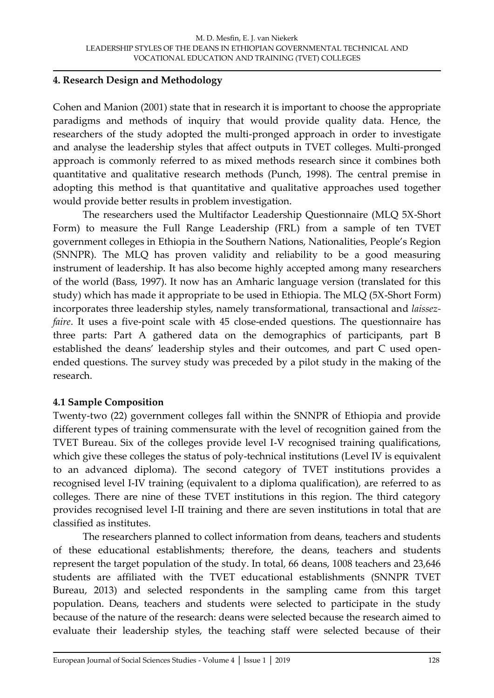#### **4. Research Design and Methodology**

Cohen and Manion (2001) state that in research it is important to choose the appropriate paradigms and methods of inquiry that would provide quality data. Hence, the researchers of the study adopted the multi-pronged approach in order to investigate and analyse the leadership styles that affect outputs in TVET colleges. Multi-pronged approach is commonly referred to as mixed methods research since it combines both quantitative and qualitative research methods (Punch, 1998). The central premise in adopting this method is that quantitative and qualitative approaches used together would provide better results in problem investigation.

The researchers used the Multifactor Leadership Questionnaire (MLQ 5X-Short Form) to measure the Full Range Leadership (FRL) from a sample of ten TVET government colleges in Ethiopia in the Southern Nations, Nationalities, People's Region (SNNPR). The MLQ has proven validity and reliability to be a good measuring instrument of leadership. It has also become highly accepted among many researchers of the world (Bass, 1997). It now has an Amharic language version (translated for this study) which has made it appropriate to be used in Ethiopia. The MLQ (5X-Short Form) incorporates three leadership styles, namely transformational, transactional and *laissezfaire*. It uses a five-point scale with 45 close-ended questions. The questionnaire has three parts: Part A gathered data on the demographics of participants, part B established the deans' leadership styles and their outcomes, and part C used openended questions. The survey study was preceded by a pilot study in the making of the research.

# **4.1 Sample Composition**

Twenty-two (22) government colleges fall within the SNNPR of Ethiopia and provide different types of training commensurate with the level of recognition gained from the TVET Bureau. Six of the colleges provide level I-V recognised training qualifications, which give these colleges the status of poly-technical institutions (Level IV is equivalent to an advanced diploma). The second category of TVET institutions provides a recognised level I-IV training (equivalent to a diploma qualification), are referred to as colleges. There are nine of these TVET institutions in this region. The third category provides recognised level I-II training and there are seven institutions in total that are classified as institutes.

The researchers planned to collect information from deans, teachers and students of these educational establishments; therefore, the deans, teachers and students represent the target population of the study. In total, 66 deans, 1008 teachers and 23,646 students are affiliated with the TVET educational establishments (SNNPR TVET Bureau, 2013) and selected respondents in the sampling came from this target population. Deans, teachers and students were selected to participate in the study because of the nature of the research: deans were selected because the research aimed to evaluate their leadership styles, the teaching staff were selected because of their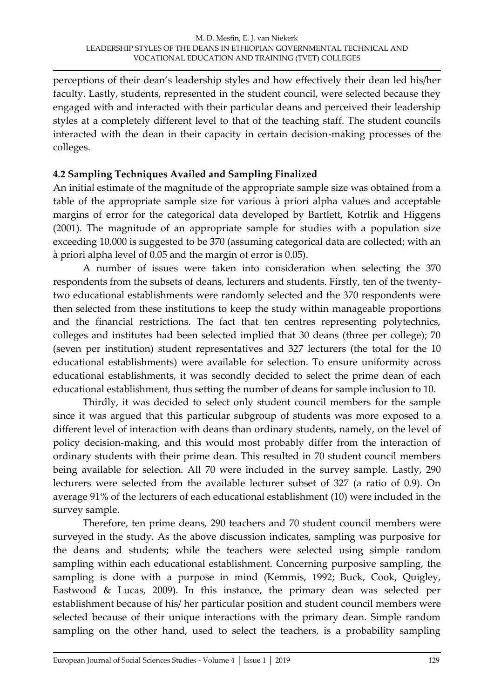perceptions of their dean's leadership styles and how effectively their dean led his/her faculty. Lastly, students, represented in the student council, were selected because they engaged with and interacted with their particular deans and perceived their leadership styles at a completely different level to that of the teaching staff. The student councils interacted with the dean in their capacity in certain decision-making processes of the colleges.

# **4.2 Sampling Techniques Availed and Sampling Finalized**

An initial estimate of the magnitude of the appropriate sample size was obtained from a table of the appropriate sample size for various à priori alpha values and acceptable margins of error for the categorical data developed by Bartlett, Kotrlik and Higgens (2001). The magnitude of an appropriate sample for studies with a population size exceeding 10,000 is suggested to be 370 (assuming categorical data are collected; with an à priori alpha level of 0.05 and the margin of error is 0.05).

A number of issues were taken into consideration when selecting the 370 respondents from the subsets of deans, lecturers and students. Firstly, ten of the twentytwo educational establishments were randomly selected and the 370 respondents were then selected from these institutions to keep the study within manageable proportions and the financial restrictions. The fact that ten centres representing polytechnics, colleges and institutes had been selected implied that 30 deans (three per college); 70 (seven per institution) student representatives and 327 lecturers (the total for the 10 educational establishments) were available for selection. To ensure uniformity across educational establishments, it was secondly decided to select the prime dean of each educational establishment, thus setting the number of deans for sample inclusion to 10.

Thirdly, it was decided to select only student council members for the sample since it was argued that this particular subgroup of students was more exposed to a different level of interaction with deans than ordinary students, namely, on the level of policy decision-making, and this would most probably differ from the interaction of ordinary students with their prime dean. This resulted in 70 student council members being available for selection. All 70 were included in the survey sample. Lastly, 290 lecturers were selected from the available lecturer subset of 327 (a ratio of 0.9). On average 91% of the lecturers of each educational establishment (10) were included in the survey sample.

Therefore, ten prime deans, 290 teachers and 70 student council members were surveyed in the study. As the above discussion indicates, sampling was purposive for the deans and students; while the teachers were selected using simple random sampling within each educational establishment. Concerning purposive sampling, the sampling is done with a purpose in mind (Kemmis, 1992; Buck, Cook, Quigley, Eastwood & Lucas, 2009). In this instance, the primary dean was selected per establishment because of his/ her particular position and student council members were selected because of their unique interactions with the primary dean. Simple random sampling on the other hand, used to select the teachers, is a probability sampling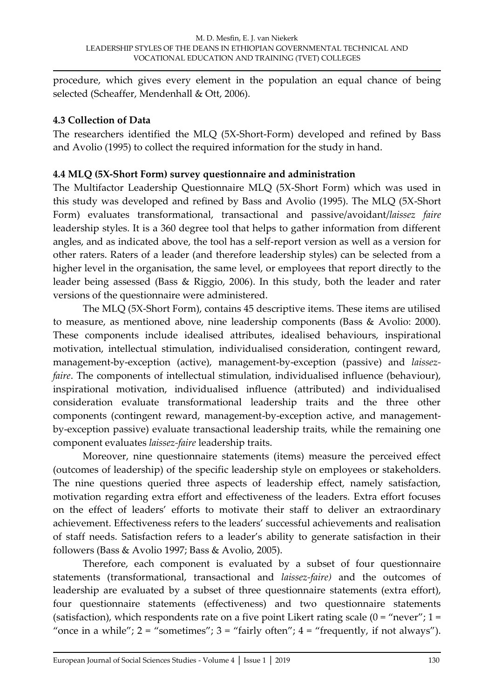procedure, which gives every element in the population an equal chance of being selected (Scheaffer, Mendenhall & Ott, 2006).

# **4.3 Collection of Data**

The researchers identified the MLQ (5X-Short-Form) developed and refined by Bass and Avolio (1995) to collect the required information for the study in hand.

# **4.4 MLQ (5X-Short Form) survey questionnaire and administration**

The Multifactor Leadership Questionnaire MLQ (5X-Short Form) which was used in this study was developed and refined by Bass and Avolio (1995). The MLQ (5X-Short Form) evaluates transformational, transactional and passive/avoidant/*laissez faire* leadership styles. It is a 360 degree tool that helps to gather information from different angles, and as indicated above, the tool has a self-report version as well as a version for other raters. Raters of a leader (and therefore leadership styles) can be selected from a higher level in the organisation, the same level, or employees that report directly to the leader being assessed (Bass & Riggio, 2006). In this study, both the leader and rater versions of the questionnaire were administered.

The MLQ (5X-Short Form), contains 45 descriptive items. These items are utilised to measure, as mentioned above, nine leadership components (Bass & Avolio: 2000). These components include idealised attributes, idealised behaviours, inspirational motivation, intellectual stimulation, individualised consideration, contingent reward, management-by-exception (active), management-by-exception (passive) and *laissezfaire*. The components of intellectual stimulation, individualised influence (behaviour), inspirational motivation, individualised influence (attributed) and individualised consideration evaluate transformational leadership traits and the three other components (contingent reward, management-by-exception active, and managementby-exception passive) evaluate transactional leadership traits, while the remaining one component evaluates *laissez-faire* leadership traits.

Moreover, nine questionnaire statements (items) measure the perceived effect (outcomes of leadership) of the specific leadership style on employees or stakeholders. The nine questions queried three aspects of leadership effect, namely satisfaction, motivation regarding extra effort and effectiveness of the leaders. Extra effort focuses on the effect of leaders' efforts to motivate their staff to deliver an extraordinary achievement. Effectiveness refers to the leaders' successful achievements and realisation of staff needs. Satisfaction refers to a leader's ability to generate satisfaction in their followers (Bass & Avolio 1997; Bass & Avolio, 2005).

Therefore, each component is evaluated by a subset of four questionnaire statements (transformational, transactional and *laissez-faire)* and the outcomes of leadership are evaluated by a subset of three questionnaire statements (extra effort), four questionnaire statements (effectiveness) and two questionnaire statements (satisfaction), which respondents rate on a five point Likert rating scale  $(0 = "never"; 1 =$ "once in a while";  $2 =$  "sometimes";  $3 =$  "fairly often";  $4 =$  "frequently, if not always").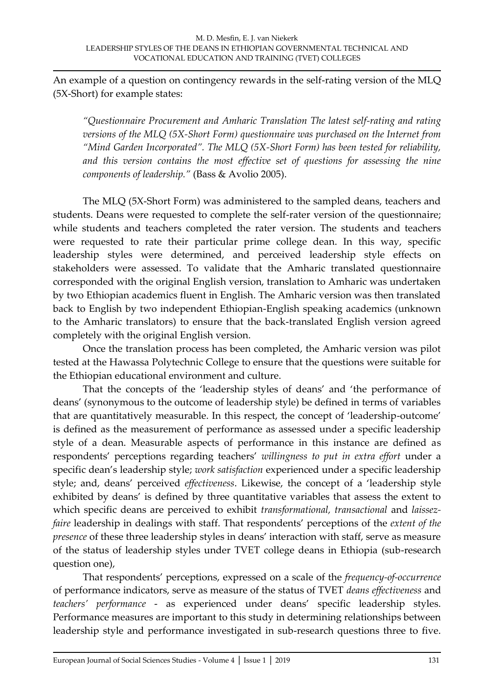An example of a question on contingency rewards in the self-rating version of the MLQ (5X-Short) for example states:

*'Questionnaire Procurement and Amharic Translation The latest self-rating and rating versions of the MLQ (5X-Short Form) questionnaire was purchased on the Internet from 'Mind Garden Incorporated'. The MLQ (5X-Short Form) has been tested for reliability,*  and this version contains the most effective set of questions for assessing the nine *components of leadership.'* (Bass & Avolio 2005).

The MLQ (5X-Short Form) was administered to the sampled deans, teachers and students. Deans were requested to complete the self-rater version of the questionnaire; while students and teachers completed the rater version. The students and teachers were requested to rate their particular prime college dean. In this way, specific leadership styles were determined, and perceived leadership style effects on stakeholders were assessed. To validate that the Amharic translated questionnaire corresponded with the original English version, translation to Amharic was undertaken by two Ethiopian academics fluent in English. The Amharic version was then translated back to English by two independent Ethiopian-English speaking academics (unknown to the Amharic translators) to ensure that the back-translated English version agreed completely with the original English version.

Once the translation process has been completed, the Amharic version was pilot tested at the Hawassa Polytechnic College to ensure that the questions were suitable for the Ethiopian educational environment and culture.

That the concepts of the 'leadership styles of deans' and 'the performance of deans' (synonymous to the outcome of leadership style) be defined in terms of variables that are quantitatively measurable. In this respect, the concept of 'leadership-outcome' is defined as the measurement of performance as assessed under a specific leadership style of a dean. Measurable aspects of performance in this instance are defined as respondents' perceptions regarding teachers' *willingness to put in extra effort* under a specific dean's leadership style; *work satisfaction* experienced under a specific leadership style; and, deans' perceived *effectiveness*. Likewise, the concept of a 'leadership style exhibited by deans' is defined by three quantitative variables that assess the extent to which specific deans are perceived to exhibit *transformational, transactional* and *laissezfaire* leadership in dealings with staff. That respondents' perceptions of the *extent of the presence* of these three leadership styles in deans' interaction with staff, serve as measure of the status of leadership styles under TVET college deans in Ethiopia (sub-research question one),

That respondents' perceptions, expressed on a scale of the *frequency-of-occurrence* of performance indicators, serve as measure of the status of TVET *deans effectiveness* and *teachers' performance* - as experienced under deans' specific leadership styles. Performance measures are important to this study in determining relationships between leadership style and performance investigated in sub-research questions three to five.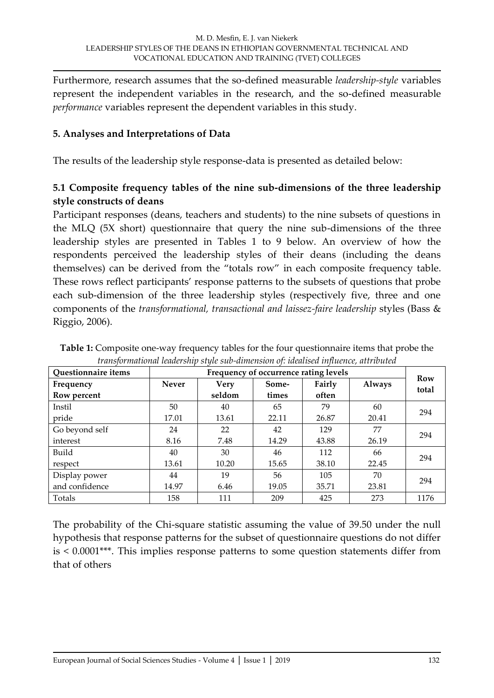Furthermore, research assumes that the so-defined measurable *leadership-style* variables represent the independent variables in the research, and the so-defined measurable *performance* variables represent the dependent variables in this study.

#### **5. Analyses and Interpretations of Data**

The results of the leadership style response-data is presented as detailed below:

# **5.1 Composite frequency tables of the nine sub-dimensions of the three leadership style constructs of deans**

Participant responses (deans, teachers and students) to the nine subsets of questions in the MLQ (5X short) questionnaire that query the nine sub-dimensions of the three leadership styles are presented in Tables 1 to 9 below. An overview of how the respondents perceived the leadership styles of their deans (including the deans themselves) can be derived from the 'totals row' in each composite frequency table. These rows reflect participants' response patterns to the subsets of questions that probe each sub-dimension of the three leadership styles (respectively five, three and one components of the *transformational, transactional and laissez-faire leadership* styles (Bass & Riggio, 2006).

| <b>Questionnaire items</b> | Frequency of occurrence rating levels |        |       |        |        |              |  |
|----------------------------|---------------------------------------|--------|-------|--------|--------|--------------|--|
| Frequency                  | <b>Never</b>                          | Very   | Some- | Fairly | Always | Row<br>total |  |
| Row percent                |                                       | seldom | times | often  |        |              |  |
| Instil                     | 50                                    | 40     | 65    | 79     | 60     | 294          |  |
| pride                      | 17.01                                 | 13.61  | 22.11 | 26.87  | 20.41  |              |  |
| Go beyond self             | 24                                    | 22     | 42    | 129    | 77     | 294          |  |
| interest                   | 8.16                                  | 7.48   | 14.29 | 43.88  | 26.19  |              |  |
| Build                      | 40                                    | 30     | 46    | 112    | 66     | 294          |  |
| respect                    | 13.61                                 | 10.20  | 15.65 | 38.10  | 22.45  |              |  |
| Display power              | 44                                    | 19     | 56    | 105    | 70     | 294          |  |
| and confidence             | 14.97                                 | 6.46   | 19.05 | 35.71  | 23.81  |              |  |
| Totals                     | 158                                   | 111    | 209   | 425    | 273    | 1176         |  |

**Table 1:** Composite one-way frequency tables for the four questionnaire items that probe the *transformational leadership style sub-dimension of: idealised influence, attributed*

The probability of the Chi-square statistic assuming the value of 39.50 under the null hypothesis that response patterns for the subset of questionnaire questions do not differ is < 0.0001\*\*\*. This implies response patterns to some question statements differ from that of others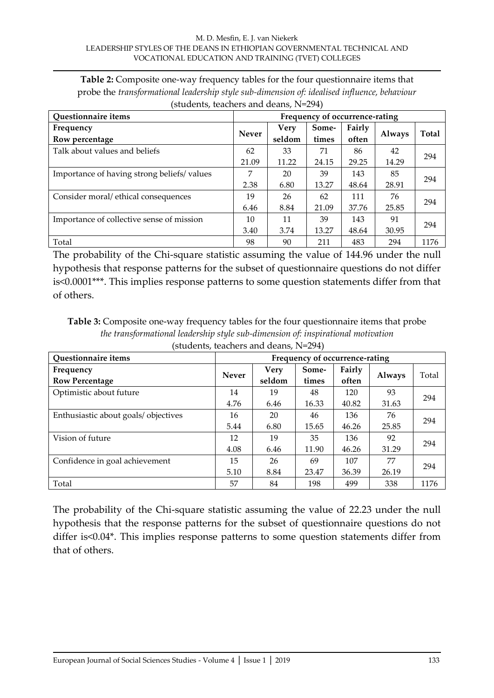| <b>Table 2:</b> Composite one-way frequency tables for the four questionnaire items that     |  |
|----------------------------------------------------------------------------------------------|--|
| probe the transformational leadership style sub-dimension of: idealised influence, behaviour |  |
| (students, teachers and deans, $N=294$ )                                                     |  |

| <b>Questionnaire items</b>                 | Frequency of occurrence-rating |        |       |        |               |       |  |
|--------------------------------------------|--------------------------------|--------|-------|--------|---------------|-------|--|
| Frequency                                  | <b>Never</b>                   | Very   | Some- | Fairly |               | Total |  |
| Row percentage                             |                                | seldom | times | often  | <b>Always</b> |       |  |
| Talk about values and beliefs              | 62                             | 33     | 71    | 86     | 42            |       |  |
|                                            | 21.09                          | 11.22  | 24.15 | 29.25  | 14.29         | 294   |  |
| Importance of having strong beliefs/values | 7                              | 20     | 39    | 143    | 85            |       |  |
|                                            | 2.38                           | 6.80   | 13.27 | 48.64  | 28.91         | 294   |  |
| Consider moral/ethical consequences        | 19                             | 26     | 62    | 111    | 76            | 294   |  |
|                                            | 6.46                           | 8.84   | 21.09 | 37.76  | 25.85         |       |  |
| Importance of collective sense of mission  | 10                             | 11     | 39    | 143    | 91            |       |  |
|                                            | 3.40                           | 3.74   | 13.27 | 48.64  | 30.95         | 294   |  |
| Total                                      | 98                             | 90     | 211   | 483    | 294           | 1176  |  |

The probability of the Chi-square statistic assuming the value of 144.96 under the null hypothesis that response patterns for the subset of questionnaire questions do not differ is<0.0001\*\*\*. This implies response patterns to some question statements differ from that of others.

**Table 3:** Composite one-way frequency tables for the four questionnaire items that probe *the transformational leadership style sub-dimension of: inspirational motivation* (students, teachers and deans, N=294)

| Questionnaire items                  | Frequency of occurrence-rating |                |                |                 |               |       |  |  |
|--------------------------------------|--------------------------------|----------------|----------------|-----------------|---------------|-------|--|--|
| Frequency<br><b>Row Percentage</b>   | <b>Never</b>                   | Very<br>seldom | Some-<br>times | Fairly<br>often | <b>Always</b> | Total |  |  |
| Optimistic about future              | 14                             | 19             | 48             | 120             | 93            | 294   |  |  |
|                                      | 4.76                           | 6.46           | 16.33          | 40.82           | 31.63         |       |  |  |
| Enthusiastic about goals/ objectives | 16                             | 20             | 46             | 136             | 76            | 294   |  |  |
|                                      | 5.44                           | 6.80           | 15.65          | 46.26           | 25.85         |       |  |  |
| Vision of future                     | 12                             | 19             | 35             | 136             | 92            | 294   |  |  |
|                                      | 4.08                           | 6.46           | 11.90          | 46.26           | 31.29         |       |  |  |
| Confidence in goal achievement       | 15                             | 26             | 69             | 107             | 77            |       |  |  |
|                                      | 5.10                           | 8.84           | 23.47          | 36.39           | 26.19         | 294   |  |  |
| Total                                | 57                             | 84             | 198            | 499             | 338           | 1176  |  |  |

The probability of the Chi-square statistic assuming the value of 22.23 under the null hypothesis that the response patterns for the subset of questionnaire questions do not differ is<0.04\*. This implies response patterns to some question statements differ from that of others.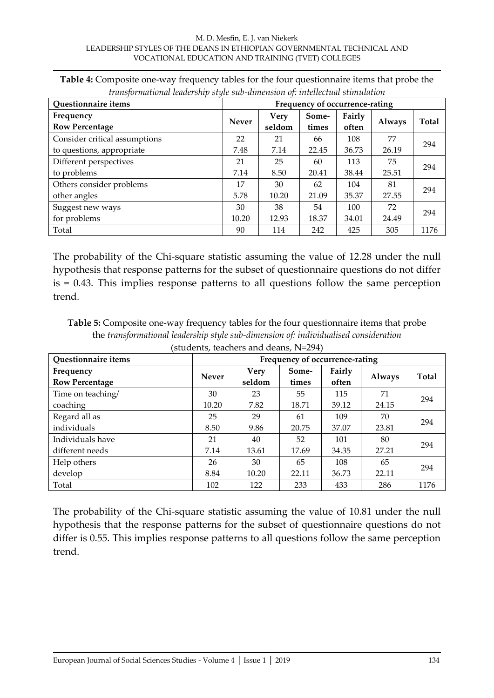#### M. D. Mesfin, E. J. van Niekerk LEADERSHIP STYLES OF THE DEANS IN ETHIOPIAN GOVERNMENTAL TECHNICAL AND VOCATIONAL EDUCATION AND TRAINING (TVET) COLLEGES

| Questionnaire items           | Frequency of occurrence-rating |             |       |        |        |              |  |
|-------------------------------|--------------------------------|-------------|-------|--------|--------|--------------|--|
| Frequency                     | <b>Never</b>                   | <b>Very</b> | Some- | Fairly |        | <b>Total</b> |  |
| <b>Row Percentage</b>         |                                | seldom      | times | often  | Always |              |  |
| Consider critical assumptions | 22                             | 21          | 66    | 108    | 77     |              |  |
| to questions, appropriate     | 7.48                           | 7.14        | 22.45 | 36.73  | 26.19  | 294          |  |
| Different perspectives        | 21                             | 25          | 60    | 113    | 75     | 294          |  |
| to problems                   | 7.14                           | 8.50        | 20.41 | 38.44  | 25.51  |              |  |
| Others consider problems      | 17                             | 30          | 62    | 104    | 81     | 294          |  |
| other angles                  | 5.78                           | 10.20       | 21.09 | 35.37  | 27.55  |              |  |
| Suggest new ways              | 30                             | 38          | 54    | 100    | 72     | 294          |  |
| for problems                  | 10.20                          | 12.93       | 18.37 | 34.01  | 24.49  |              |  |
| Total                         | 90                             | 114         | 242   | 425    | 305    | 1176         |  |

**Table 4:** Composite one-way frequency tables for the four questionnaire items that probe the *transformational leadership style sub-dimension of: intellectual stimulation*

The probability of the Chi-square statistic assuming the value of 12.28 under the null hypothesis that response patterns for the subset of questionnaire questions do not differ is = 0.43. This implies response patterns to all questions follow the same perception trend.

**Table 5:** Composite one-way frequency tables for the four questionnaire items that probe the *transformational leadership style sub-dimension of: individualised consideration*  (students, teachers and deans, N=294)

| Questionnaire items   | Frequency of occurrence-rating |        |       |        |               |       |  |  |  |
|-----------------------|--------------------------------|--------|-------|--------|---------------|-------|--|--|--|
| Frequency             | <b>Never</b>                   | Very   | Some- | Fairly |               | Total |  |  |  |
| <b>Row Percentage</b> |                                | seldom | times | often  | <b>Always</b> |       |  |  |  |
| Time on teaching/     | 30                             | 23     | 55    | 115    | 71            |       |  |  |  |
| coaching              | 10.20                          | 7.82   | 18.71 | 39.12  | 24.15         | 294   |  |  |  |
| Regard all as         | 25                             | 29     | 61    | 109    | 70            |       |  |  |  |
| individuals           | 8.50                           | 9.86   | 20.75 | 37.07  | 23.81         | 294   |  |  |  |
| Individuals have      | 21                             | 40     | 52    | 101    | 80            | 294   |  |  |  |
| different needs       | 7.14                           | 13.61  | 17.69 | 34.35  | 27.21         |       |  |  |  |
| Help others           | 26                             | 30     | 65    | 108    | 65            |       |  |  |  |
| develop               | 8.84                           | 10.20  | 22.11 | 36.73  | 22.11         | 294   |  |  |  |
| Total                 | 102                            | 122    | 233   | 433    | 286           | 1176  |  |  |  |

The probability of the Chi-square statistic assuming the value of 10.81 under the null hypothesis that the response patterns for the subset of questionnaire questions do not differ is 0.55. This implies response patterns to all questions follow the same perception trend.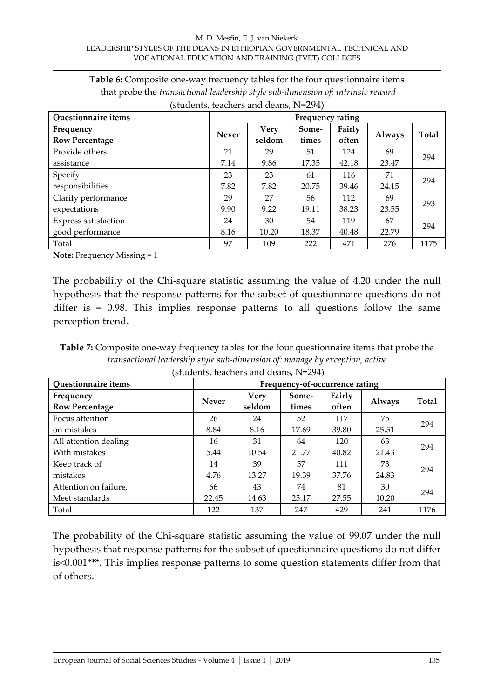| Table 6: Composite one-way frequency tables for the four questionnaire items            |
|-----------------------------------------------------------------------------------------|
| that probe the <i>transactional leadership style sub-dimension of: intrinsic reward</i> |
| (students, teachers and deans, $N=294$ )                                                |

| <b>Questionnaire items</b>         | Frequency rating |                |                |                 |        |              |  |  |
|------------------------------------|------------------|----------------|----------------|-----------------|--------|--------------|--|--|
| Frequency<br><b>Row Percentage</b> | Never            | Very<br>seldom | Some-<br>times | Fairly<br>often | Always | <b>Total</b> |  |  |
| Provide others                     | 21               | 29             | 51             | 124             | 69     |              |  |  |
| assistance                         | 7.14             | 9.86           | 17.35          | 42.18           | 23.47  | 294          |  |  |
| Specify                            | 23               | 23             | 61             | 116             | 71     |              |  |  |
| responsibilities                   | 7.82             | 7.82           | 20.75          | 39.46           | 24.15  | 294          |  |  |
| Clarify performance                | 29               | 27             | 56             | 112             | 69     |              |  |  |
| expectations                       | 9.90             | 9.22           | 19.11          | 38.23           | 23.55  | 293          |  |  |
| Express satisfaction               | 24               | 30             | 54             | 119             | 67     |              |  |  |
| good performance                   | 8.16             | 10.20          | 18.37          | 40.48           | 22.79  | 294          |  |  |
| Total                              | 97               | 109            | 222            | 471             | 276    | 1175         |  |  |

**Note:** Frequency Missing = 1

The probability of the Chi-square statistic assuming the value of 4.20 under the null hypothesis that the response patterns for the subset of questionnaire questions do not differ is  $= 0.98$ . This implies response patterns to all questions follow the same perception trend.

**Table 7:** Composite one-way frequency tables for the four questionnaire items that probe the *transactional leadership style sub-dimension of: manage by exception, active* (students, teachers and deans, N=294)

| Questionnaire items   | Frequency-of-occurrence rating |        |       |        |               |       |  |  |  |
|-----------------------|--------------------------------|--------|-------|--------|---------------|-------|--|--|--|
| Frequency             | <b>Never</b>                   | Very   | Some- | Fairly |               | Total |  |  |  |
| <b>Row Percentage</b> |                                | seldom | times | often  | <b>Always</b> |       |  |  |  |
| Focus attention       | 26                             | 24     | 52    | 117    | 75            |       |  |  |  |
| on mistakes           | 8.84                           | 8.16   | 17.69 | 39.80  | 25.51         | 294   |  |  |  |
| All attention dealing | 16                             | 31     | 64    | 120    | 63            |       |  |  |  |
| With mistakes         | 5.44                           | 10.54  | 21.77 | 40.82  | 21.43         | 294   |  |  |  |
| Keep track of         | 14                             | 39     | 57    | 111    | 73            |       |  |  |  |
| mistakes              | 4.76                           | 13.27  | 19.39 | 37.76  | 24.83         | 294   |  |  |  |
| Attention on failure, | 66                             | 43     | 74    | 81     | 30            |       |  |  |  |
| Meet standards        | 22.45                          | 14.63  | 25.17 | 27.55  | 10.20         | 294   |  |  |  |
| Total                 | 122                            | 137    | 247   | 429    | 241           | 1176  |  |  |  |

The probability of the Chi-square statistic assuming the value of 99.07 under the null hypothesis that response patterns for the subset of questionnaire questions do not differ is<0.001\*\*\*. This implies response patterns to some question statements differ from that of others.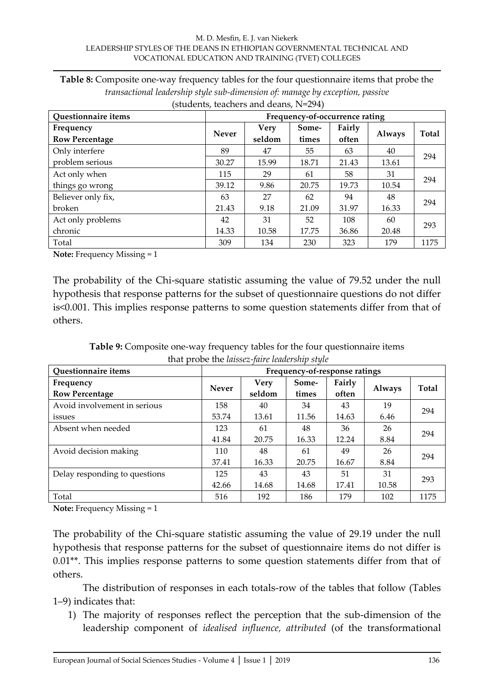#### M. D. Mesfin, E. J. van Niekerk LEADERSHIP STYLES OF THE DEANS IN ETHIOPIAN GOVERNMENTAL TECHNICAL AND VOCATIONAL EDUCATION AND TRAINING (TVET) COLLEGES

| transactional leadership style sub-dimension of: manage by exception, passive |                                |             |       |        |               |       |  |  |
|-------------------------------------------------------------------------------|--------------------------------|-------------|-------|--------|---------------|-------|--|--|
| (students, teachers and deans, N=294)                                         |                                |             |       |        |               |       |  |  |
| Questionnaire items                                                           | Frequency-of-occurrence rating |             |       |        |               |       |  |  |
| Frequency                                                                     |                                | <b>Very</b> | Some- | Fairly |               |       |  |  |
| <b>Row Percentage</b>                                                         | <b>Never</b>                   | seldom      | times | often  | <b>Always</b> | Total |  |  |
| Only interfere                                                                | 89                             | 47          | 55    | 63     | 40            | 294   |  |  |
| problem serious                                                               | 30.27                          | 15.99       | 18.71 | 21.43  | 13.61         |       |  |  |

27 9.18

31 10.58

63 21.43

42 14.33

115 | 29 | 61 | 58 | 31

39.12 9.86 20.75 19.73 10.54

62 21.09

52 17.75

94 31.97

108 36.86 48

60

 $\begin{array}{c|c} 40 & 294 \\ 16.33 & \end{array}$ 

 $20.48$  293

**Table 8:** Composite one-way frequency tables for the four questionnaire items that probe the

**Note:** Frequency Missing = 1

Act only when things go wrong

Believer only fix,

Act only problems

broken

chronic

The probability of the Chi-square statistic assuming the value of 79.52 under the null hypothesis that response patterns for the subset of questionnaire questions do not differ is<0.001. This implies response patterns to some question statements differ from that of others.

Total 309 134 230 323 179 1175

**Table 9:** Composite one-way frequency tables for the four questionnaire items that probe the *laissez-faire leadership style*

| Questionnaire items           | Frequency-of-response ratings |             |       |        |               |              |  |  |
|-------------------------------|-------------------------------|-------------|-------|--------|---------------|--------------|--|--|
| Frequency                     |                               | <b>Very</b> | Some- | Fairly |               | <b>Total</b> |  |  |
| <b>Row Percentage</b>         | <b>Never</b>                  | seldom      | times | often  | <b>Always</b> |              |  |  |
| Avoid involvement in serious  | 158                           | 40          | 34    | 43     | 19            | 294          |  |  |
| issues                        | 53.74                         | 13.61       | 11.56 | 14.63  | 6.46          |              |  |  |
| Absent when needed            | 123                           | 61          | 48    | 36     | 26            |              |  |  |
|                               | 41.84                         | 20.75       | 16.33 | 12.24  | 8.84          | 294          |  |  |
| Avoid decision making         | 110                           | 48          | 61    | 49     | 26            |              |  |  |
|                               | 37.41                         | 16.33       | 20.75 | 16.67  | 8.84          | 294          |  |  |
| Delay responding to questions | 125                           | 43          | 43    | 51     | 31            |              |  |  |
|                               | 42.66                         | 14.68       | 14.68 | 17.41  | 10.58         | 293          |  |  |
| Total                         | 516                           | 192         | 186   | 179    | 102           | 1175         |  |  |

**Note:** Frequency Missing = 1

The probability of the Chi-square statistic assuming the value of 29.19 under the null hypothesis that response patterns for the subset of questionnaire items do not differ is 0.01\*\*. This implies response patterns to some question statements differ from that of others.

The distribution of responses in each totals-row of the tables that follow (Tables 1–9) indicates that:

1) The majority of responses reflect the perception that the sub-dimension of the leadership component of *idealised influence, attributed* (of the transformational

294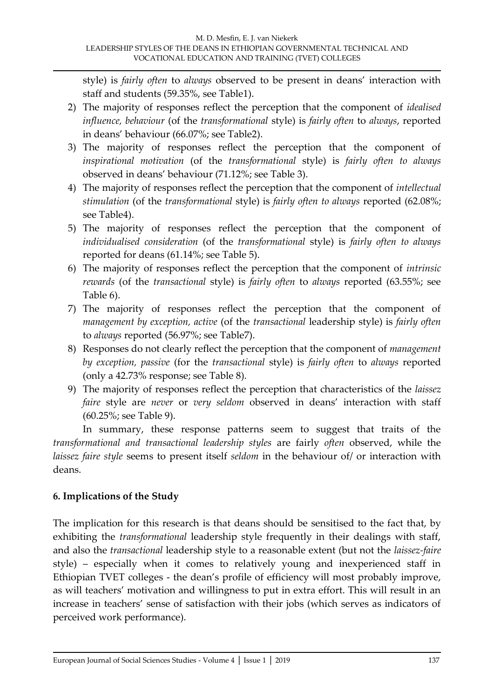style) is *fairly often* to *always* observed to be present in deans' interaction with staff and students (59.35%, see Table1).

- 2) The majority of responses reflect the perception that the component of *idealised influence, behaviour* (of the *transformational* style) is *fairly often* to *always*, reported in deans' behaviour (66.07%; see Table2).
- 3) The majority of responses reflect the perception that the component of *inspirational motivation* (of the *transformational* style) is *fairly often to always* observed in deans' behaviour (71.12%; see Table 3).
- 4) The majority of responses reflect the perception that the component of *intellectual stimulation* (of the *transformational* style) is *fairly often to always* reported (62.08%; see Table4).
- 5) The majority of responses reflect the perception that the component of *individualised consideration* (of the *transformational* style) is *fairly often to always*  reported for deans (61.14%; see Table 5).
- 6) The majority of responses reflect the perception that the component of *intrinsic rewards* (of the *transactional* style) is *fairly often* to *always* reported (63.55%; see Table 6).
- 7) The majority of responses reflect the perception that the component of *management by exception, active* (of the *transactional* leadership style) is *fairly often*  to *always* reported (56.97%; see Table7).
- 8) Responses do not clearly reflect the perception that the component of *management by exception, passive* (for the *transactional* style) is *fairly often* to *always* reported (only a 42.73% response; see Table 8).
- 9) The majority of responses reflect the perception that characteristics of the *laissez faire* style are *never* or *very seldom* observed in deans' interaction with staff (60.25%; see Table 9).

In summary, these response patterns seem to suggest that traits of the *transformational and transactional leadership styles* are fairly *often* observed, while the *laissez faire style* seems to present itself *seldom* in the behaviour of/ or interaction with deans.

# **6. Implications of the Study**

The implication for this research is that deans should be sensitised to the fact that, by exhibiting the *transformational* leadership style frequently in their dealings with staff, and also the *transactional* leadership style to a reasonable extent (but not the *laissez-faire* style) – especially when it comes to relatively young and inexperienced staff in Ethiopian TVET colleges - the dean's profile of efficiency will most probably improve, as will teachers' motivation and willingness to put in extra effort. This will result in an increase in teachers' sense of satisfaction with their jobs (which serves as indicators of perceived work performance).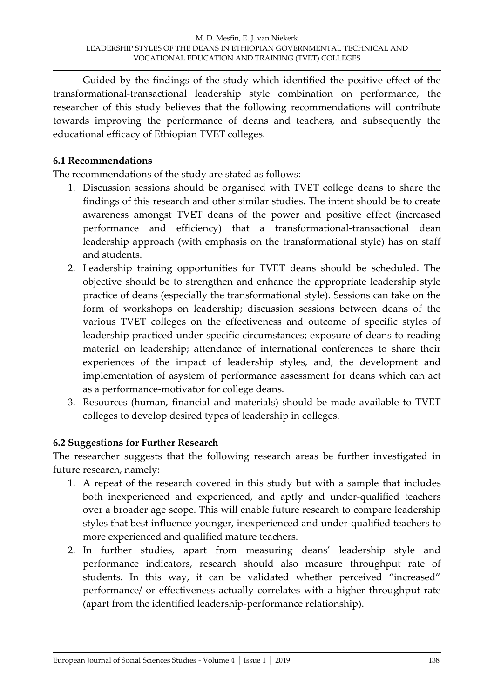Guided by the findings of the study which identified the positive effect of the transformational-transactional leadership style combination on performance, the researcher of this study believes that the following recommendations will contribute towards improving the performance of deans and teachers, and subsequently the educational efficacy of Ethiopian TVET colleges.

# **6.1 Recommendations**

The recommendations of the study are stated as follows:

- 1. Discussion sessions should be organised with TVET college deans to share the findings of this research and other similar studies. The intent should be to create awareness amongst TVET deans of the power and positive effect (increased performance and efficiency) that a transformational-transactional dean leadership approach (with emphasis on the transformational style) has on staff and students.
- 2. Leadership training opportunities for TVET deans should be scheduled. The objective should be to strengthen and enhance the appropriate leadership style practice of deans (especially the transformational style). Sessions can take on the form of workshops on leadership; discussion sessions between deans of the various TVET colleges on the effectiveness and outcome of specific styles of leadership practiced under specific circumstances; exposure of deans to reading material on leadership; attendance of international conferences to share their experiences of the impact of leadership styles, and, the development and implementation of asystem of performance assessment for deans which can act as a performance-motivator for college deans.
- 3. Resources (human, financial and materials) should be made available to TVET colleges to develop desired types of leadership in colleges.

# **6.2 Suggestions for Further Research**

The researcher suggests that the following research areas be further investigated in future research, namely:

- 1. A repeat of the research covered in this study but with a sample that includes both inexperienced and experienced, and aptly and under-qualified teachers over a broader age scope. This will enable future research to compare leadership styles that best influence younger, inexperienced and under-qualified teachers to more experienced and qualified mature teachers.
- 2. In further studies, apart from measuring deans' leadership style and performance indicators, research should also measure throughput rate of students. In this way, it can be validated whether perceived 'increased' performance/ or effectiveness actually correlates with a higher throughput rate (apart from the identified leadership-performance relationship).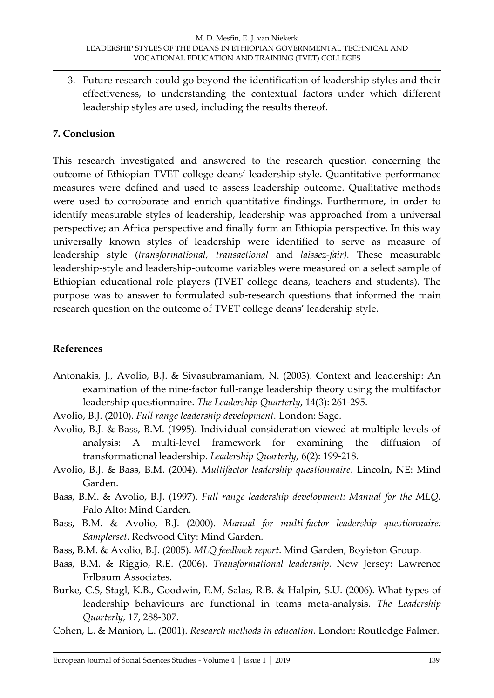3. Future research could go beyond the identification of leadership styles and their effectiveness, to understanding the contextual factors under which different leadership styles are used, including the results thereof.

#### **7. Conclusion**

This research investigated and answered to the research question concerning the outcome of Ethiopian TVET college deans' leadership-style. Quantitative performance measures were defined and used to assess leadership outcome. Qualitative methods were used to corroborate and enrich quantitative findings. Furthermore, in order to identify measurable styles of leadership, leadership was approached from a universal perspective; an Africa perspective and finally form an Ethiopia perspective. In this way universally known styles of leadership were identified to serve as measure of leadership style (*transformational, transactional* and *laissez-fair).* These measurable leadership-style and leadership-outcome variables were measured on a select sample of Ethiopian educational role players (TVET college deans, teachers and students). The purpose was to answer to formulated sub-research questions that informed the main research question on the outcome of TVET college deans' leadership style.

#### **References**

- [Antonakis](javascript:void(0);)*,* J*.,* [Avolio](http://0-proquest.umi.com.mercury.concordia.ca/pqdweb?index=3&did=336057571&CSP=20045&SrchMode=1&sid=1&Fmt=2&VInst=PROD&VType=PQD&RQT=590&VName=PQD&TS=1170260234&clientId=10306)*,* B.J. & [Sivasubramaniam](http://0-proquest.umi.com.mercury.concordia.ca/pqdweb?index=3&did=336057571&SrchMode=1&sid=1&Fmt=2&VInst=PROD&VType=PQD&CSD=8946&RQT=590&VName=PQD&TS=1170260234&clientId=10306)*,* N. (2003). Context and leadership: An examination of the nine-factor full-range leadership theory using the multifactor leadership questionnaire. *The Leadership Quarterly*, 14(3): 261-295.
- Avolio, B.J. (2010). *Full range leadership development.* London: Sage.
- Avolio, B.J. & Bass, B.M. (1995). Individual consideration viewed at multiple levels of analysis: A multi-level framework for examining the diffusion of transformational leadership. *Leadership Quarterly,* 6(2): 199-218.
- Avolio, B.J. & Bass, B.M. (2004). *Multifactor leadership questionnaire*. Lincoln, NE: Mind Garden.
- Bass, B.M. & Avolio, B.J. (1997). *Full range leadership development: Manual for the MLQ.*  Palo Alto: Mind Garden.
- Bass, B.M. & Avolio, B.J. (2000). *Manual for multi-factor leadership questionnaire: Samplerset*. Redwood City: Mind Garden.
- Bass, B.M. & Avolio, B.J. (2005). *MLQ feedback report*. Mind Garden, Boyiston Group.
- Bass, B.M. & Riggio, R.E. (2006). *Transformational leadership.* New Jersey: Lawrence Erlbaum Associates.
- Burke, C.S, Stagl, K.B., Goodwin, E.M, Salas, R.B. & Halpin, S.U. (2006). What types of leadership behaviours are functional in teams meta-analysis. *The Leadership Quarterly,* 17, 288-307.
- Cohen, L. & Manion, L. (2001). *Research methods in education.* London: Routledge Falmer.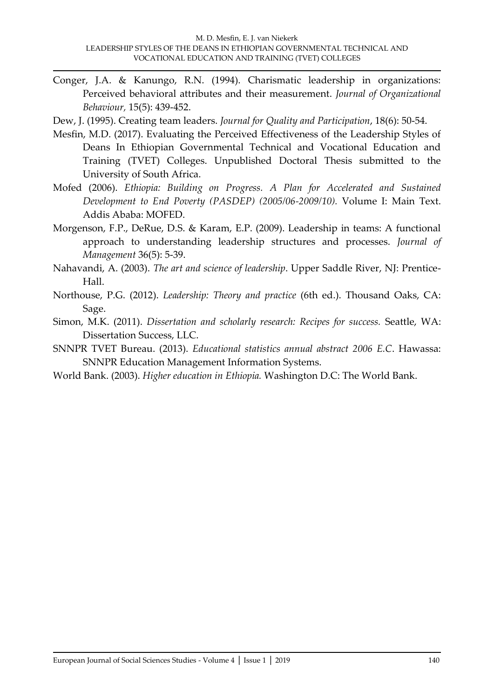- Conger, J.A. & Kanungo, R.N. (1994). Charismatic leadership in organizations: Perceived behavioral attributes and their measurement. *Journal of Organizational Behaviour,* 15(5): 439-452.
- Dew, J. (1995). Creating team leaders. *Journal for Quality and Participation*, 18(6): 50-54.
- Mesfin, M.D. (2017). Evaluating the Perceived Effectiveness of the Leadership Styles of Deans In Ethiopian Governmental Technical and Vocational Education and Training (TVET) Colleges. Unpublished Doctoral Thesis submitted to the University of South Africa.
- Mofed (2006). *Ethiopia: Building on Progress. A Plan for Accelerated and Sustained Development to End Poverty (PASDEP) (2005/06-2009/10).* Volume I: Main Text. Addis Ababa: MOFED.
- Morgenson, F.P., DeRue, D.S. & Karam, E.P. (2009). Leadership in teams: A functional approach to understanding leadership structures and processes. *Journal of Management* 36(5): 5-39.
- Nahavandi, A. (2003). *The art and science of leadership*. Upper Saddle River, NJ: Prentice-Hall.
- Northouse, P.G. (2012). *Leadership: Theory and practice* (6th ed.). Thousand Oaks, CA: Sage.
- Simon, M.K. (2011). *Dissertation and scholarly research: Recipes for success.* Seattle, WA: Dissertation Success, LLC.
- SNNPR TVET Bureau. (2013). *Educational statistics annual abstract 2006 E.C*. Hawassa: SNNPR Education Management Information Systems.
- World Bank. (2003). *Higher education in Ethiopia.* Washington D.C: The World Bank.